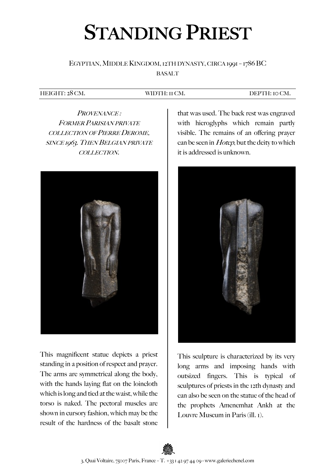# STANDING PRIEST

## EGYPTIAN, MIDDLE KINGDOM, 12TH DYNASTY, CIRCA 1991 – 1786 BC BASALT

#### HEIGHT: 28 CM. WIDTH: 11 CM. DEPTH: 10 CM.

PROVENANCE: FORMER PARISIAN PRIVATE COLLECTION OF PIERRE DEROME, SINCE 1963. THEN BELGIAN PRIVATE COLLECTION.



This magnificent statue depicts a priest standing in a position of respect and prayer. The arms are symmetrical along the body, with the hands laying flat on the loincloth which is long and tied at the waist, while the torso is naked. The pectoral muscles are shown in cursory fashion, which may be the result of the hardness of the basalt stone

that was used. The back rest was engraved with hieroglyphs which remain partly visible. The remains of an offering prayer can be seen in *Hotep*, but the deity to which it is addressed is unknown.



This sculpture is characterized by its very long arms and imposing hands with outsized fingers. This is typical of sculptures of priests in the 12th dynasty and can also be seen on the statue of the head of the prophets Amenemhat Ankh at the Louvre Museum in Paris (ill. 1).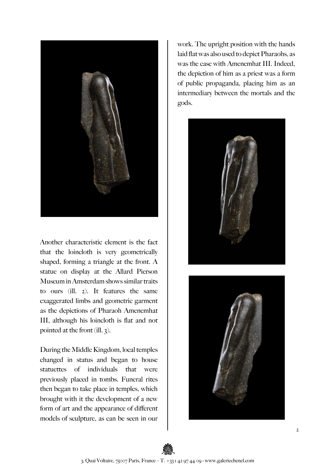

Another characteristic element is the fact that the loincloth is very geometrically shaped, forming a triangle at the front. A statue on display at the Allard Pierson Museum in Amsterdam shows similar traits to ours (ill. 2). It features the same exaggerated limbs and geometric garment as the depictions of Pharaoh Amenemhat III, although his loincloth is flat and not pointed at the front (ill. 3).

During the Middle Kingdom, local temples changed in status and began to house statuettes of individuals that were previously placed in tombs. Funeral rites then began to take place in temples, which brought with it the development of a new form of art and the appearance of different models of sculpture, as can be seen in our work. The upright position with the hands laid flat was also used to depict Pharaohs, as was the case with Amenemhat III. Indeed, the depiction of him as a priest was a form of public propaganda, placing him as an intermediary between the mortals and the gods.